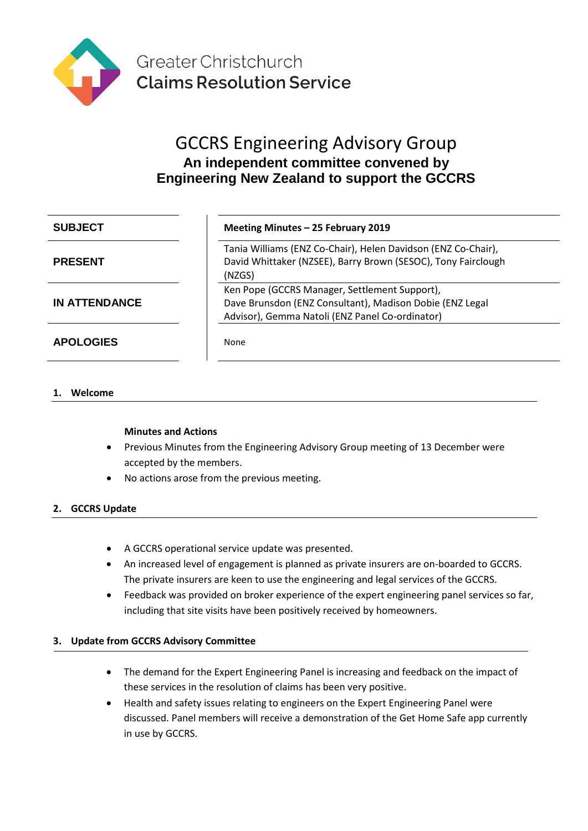

# GCCRS Engineering Advisory Group **An independent committee convened by Engineering New Zealand to support the GCCRS**

| <b>SUBJECT</b>       | Meeting Minutes - 25 February 2019                                                                                                                           |
|----------------------|--------------------------------------------------------------------------------------------------------------------------------------------------------------|
| <b>PRESENT</b>       | Tania Williams (ENZ Co-Chair), Helen Davidson (ENZ Co-Chair),<br>David Whittaker (NZSEE), Barry Brown (SESOC), Tony Fairclough<br>(NZGS)                     |
| <b>IN ATTENDANCE</b> | Ken Pope (GCCRS Manager, Settlement Support),<br>Dave Brunsdon (ENZ Consultant), Madison Dobie (ENZ Legal<br>Advisor), Gemma Natoli (ENZ Panel Co-ordinator) |
| <b>APOLOGIES</b>     | None                                                                                                                                                         |

# **1. Welcome**

# **Minutes and Actions**

- Previous Minutes from the Engineering Advisory Group meeting of 13 December were accepted by the members.
- No actions arose from the previous meeting.

# **2. GCCRS Update**

- A GCCRS operational service update was presented.
- An increased level of engagement is planned as private insurers are on-boarded to GCCRS. The private insurers are keen to use the engineering and legal services of the GCCRS.
- Feedback was provided on broker experience of the expert engineering panel services so far, including that site visits have been positively received by homeowners.

# **3. Update from GCCRS Advisory Committee**

- The demand for the Expert Engineering Panel is increasing and feedback on the impact of these services in the resolution of claims has been very positive.
- Health and safety issues relating to engineers on the Expert Engineering Panel were discussed. Panel members will receive a demonstration of the Get Home Safe app currently in use by GCCRS.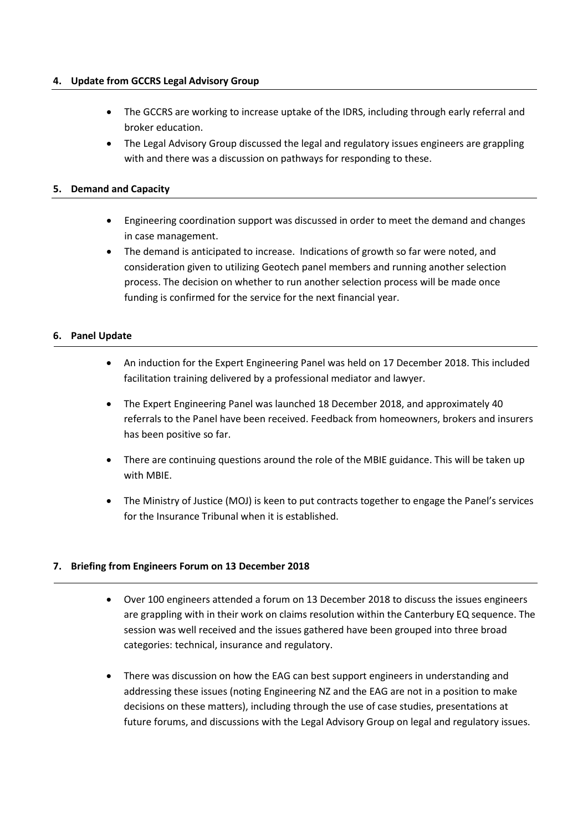#### **4. Update from GCCRS Legal Advisory Group**

- The GCCRS are working to increase uptake of the IDRS, including through early referral and broker education.
- The Legal Advisory Group discussed the legal and regulatory issues engineers are grappling with and there was a discussion on pathways for responding to these.

#### **5. Demand and Capacity**

- Engineering coordination support was discussed in order to meet the demand and changes in case management.
- The demand is anticipated to increase. Indications of growth so far were noted, and consideration given to utilizing Geotech panel members and running another selection process. The decision on whether to run another selection process will be made once funding is confirmed for the service for the next financial year.

#### **6. Panel Update**

- An induction for the Expert Engineering Panel was held on 17 December 2018. This included facilitation training delivered by a professional mediator and lawyer.
- The Expert Engineering Panel was launched 18 December 2018, and approximately 40 referrals to the Panel have been received. Feedback from homeowners, brokers and insurers has been positive so far.
- There are continuing questions around the role of the MBIE guidance. This will be taken up with MBIE.
- The Ministry of Justice (MOJ) is keen to put contracts together to engage the Panel's services for the Insurance Tribunal when it is established.

#### **7. Briefing from Engineers Forum on 13 December 2018**

- Over 100 engineers attended a forum on 13 December 2018 to discuss the issues engineers are grappling with in their work on claims resolution within the Canterbury EQ sequence. The session was well received and the issues gathered have been grouped into three broad categories: technical, insurance and regulatory.
- There was discussion on how the EAG can best support engineers in understanding and addressing these issues (noting Engineering NZ and the EAG are not in a position to make decisions on these matters), including through the use of case studies, presentations at future forums, and discussions with the Legal Advisory Group on legal and regulatory issues.